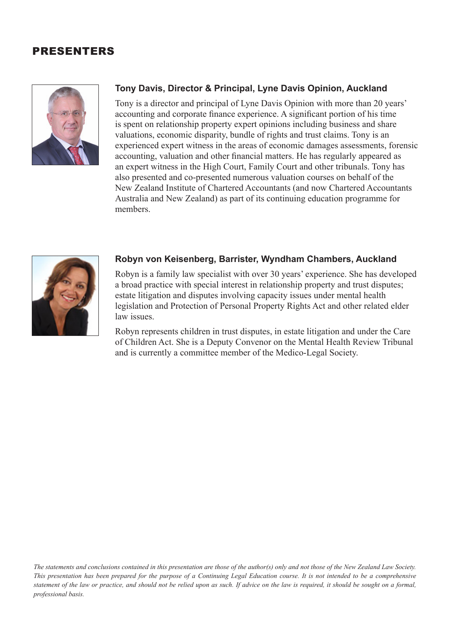## PRESENTERS



## **Tony Davis, Director & Principal, Lyne Davis Opinion, Auckland**

Tony is a director and principal of Lyne Davis Opinion with more than 20 years' accounting and corporate finance experience. A significant portion of his time is spent on relationship property expert opinions including business and share valuations, economic disparity, bundle of rights and trust claims. Tony is an experienced expert witness in the areas of economic damages assessments, forensic accounting, valuation and other financial matters. He has regularly appeared as an expert witness in the High Court, Family Court and other tribunals. Tony has also presented and co-presented numerous valuation courses on behalf of the New Zealand Institute of Chartered Accountants (and now Chartered Accountants Australia and New Zealand) as part of its continuing education programme for members.



## **Robyn von Keisenberg, Barrister, Wyndham Chambers, Auckland**

Robyn is a family law specialist with over 30 years' experience. She has developed a broad practice with special interest in relationship property and trust disputes; estate litigation and disputes involving capacity issues under mental health legislation and Protection of Personal Property Rights Act and other related elder law issues.

Robyn represents children in trust disputes, in estate litigation and under the Care of Children Act. She is a Deputy Convenor on the Mental Health Review Tribunal and is currently a committee member of the Medico-Legal Society.

*The statements and conclusions contained in this presentation are those of the author(s) only and not those of the New Zealand Law Society. This presentation has been prepared for the purpose of a Continuing Legal Education course. It is not intended to be a comprehensive statement of the law or practice, and should not be relied upon as such. If advice on the law is required, it should be sought on a formal, professional basis.*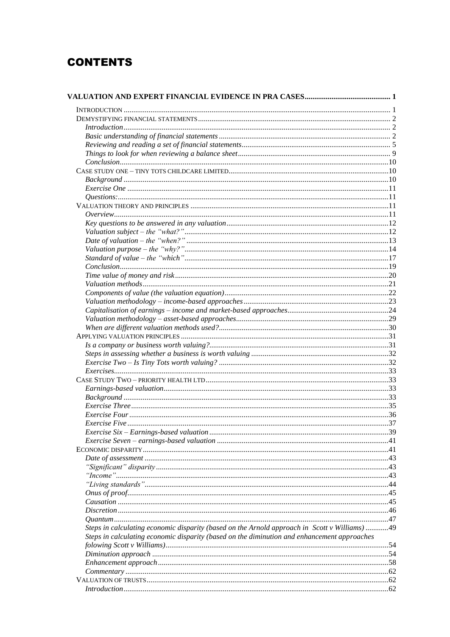## **CONTENTS**

| Introduction 1, 2                                                                           |  |
|---------------------------------------------------------------------------------------------|--|
|                                                                                             |  |
|                                                                                             |  |
|                                                                                             |  |
|                                                                                             |  |
|                                                                                             |  |
|                                                                                             |  |
|                                                                                             |  |
|                                                                                             |  |
|                                                                                             |  |
|                                                                                             |  |
|                                                                                             |  |
|                                                                                             |  |
|                                                                                             |  |
|                                                                                             |  |
|                                                                                             |  |
|                                                                                             |  |
|                                                                                             |  |
|                                                                                             |  |
|                                                                                             |  |
|                                                                                             |  |
|                                                                                             |  |
|                                                                                             |  |
|                                                                                             |  |
|                                                                                             |  |
|                                                                                             |  |
|                                                                                             |  |
|                                                                                             |  |
| Exercises 33                                                                                |  |
|                                                                                             |  |
|                                                                                             |  |
|                                                                                             |  |
|                                                                                             |  |
|                                                                                             |  |
|                                                                                             |  |
|                                                                                             |  |
|                                                                                             |  |
|                                                                                             |  |
|                                                                                             |  |
|                                                                                             |  |
|                                                                                             |  |
|                                                                                             |  |
|                                                                                             |  |
|                                                                                             |  |
|                                                                                             |  |
|                                                                                             |  |
|                                                                                             |  |
|                                                                                             |  |
| Steps in calculating economic disparity (based on the diminution and enhancement approaches |  |
|                                                                                             |  |
|                                                                                             |  |
|                                                                                             |  |
|                                                                                             |  |